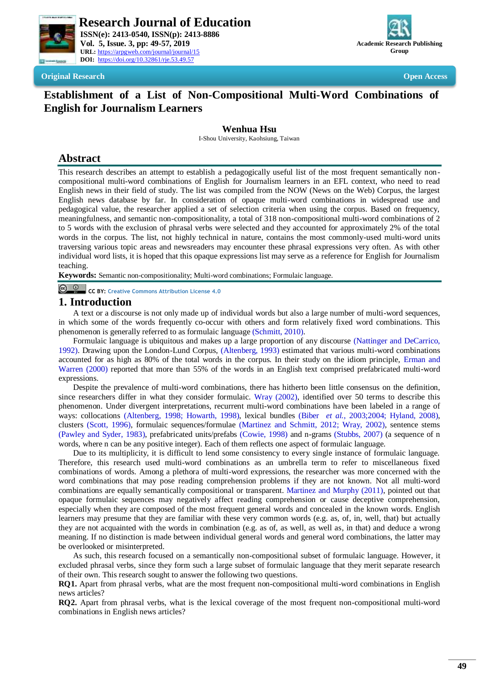



**Original Research Open Access**

# **Establishment of a List of Non-Compositional Multi-Word Combinations of English for Journalism Learners**

#### **Wenhua Hsu**

I-Shou University, Kaohsiung, Taiwan

# **Abstract**

This research describes an attempt to establish a pedagogically useful list of the most frequent semantically noncompositional multi-word combinations of English for Journalism learners in an EFL context, who need to read English news in their field of study. The list was compiled from the NOW (News on the Web) Corpus, the largest English news database by far. In consideration of opaque multi-word combinations in widespread use and pedagogical value, the researcher applied a set of selection criteria when using the corpus. Based on frequency, meaningfulness, and semantic non-compositionality, a total of 318 non-compositional multi-word combinations of 2 to 5 words with the exclusion of phrasal verbs were selected and they accounted for approximately 2% of the total words in the corpus. The list, not highly technical in nature, contains the most commonly-used multi-word units traversing various topic areas and newsreaders may encounter these phrasal expressions very often. As with other individual word lists, it is hoped that this opaque expressions list may serve as a reference for English for Journalism teaching.

**Keywords:** Semantic non-compositionality; Multi-word combinations; Formulaic language.

**CC BY: [Creative Commons Attribution License 4.0](https://creativecommons.org/licenses/by/4.0/)**

## **1. Introduction**

A text or a discourse is not only made up of individual words but also a large number of multi-word sequences, in which some of the words frequently co-occur with others and form relatively fixed word combinations. This phenomenon is generally referred to as formulaic language [\(Schmitt, 2010\)](#page-5-0).

Formulaic language is ubiquitous and makes up a large proportion of any discourse [\(Nattinger and DeCarrico,](#page-5-1)  [1992\)](#page-5-1). Drawing upon the London-Lund Corpus, [\(Altenberg, 1993\)](#page-4-0) estimated that various multi-word combinations accounted for as high as 80% of the total words in the corpus. In their study on the idiom principle, [Erman and](#page-5-2)  Warren (2000) reported that more than 55% of the words in an English text comprised prefabricated multi-word expressions.

Despite the prevalence of multi-word combinations, there has hitherto been little consensus on the definition, since researchers differ in what they consider formulaic. [Wray \(2002\),](#page-5-3) identified over 50 terms to describe this phenomenon. Under divergent interpretations, recurrent multi-word combinations have been labeled in a range of ways: collocations [\(Altenberg, 1998;](#page-4-1) [Howarth, 1998\)](#page-5-4), lexical bundles (Biber *[et al.](#page-5-5)*, 2003[;2004;](#page-5-6) [Hyland, 2008\)](#page-5-7), clusters [\(Scott, 1996\)](#page-5-8), formulaic sequences/formulae [\(Martinez and Schmitt, 2012;](#page-5-9) [Wray, 2002\)](#page-5-3), sentence stems [\(Pawley and Syder, 1983\)](#page-5-10), prefabricated units/prefabs [\(Cowie, 1998\)](#page-5-11) and n-grams [\(Stubbs, 2007\)](#page-5-12) (a sequence of n words, where n can be any positive integer). Each of them reflects one aspect of formulaic language.

Due to its multiplicity, it is difficult to lend some consistency to every single instance of formulaic language. Therefore, this research used multi-word combinations as an umbrella term to refer to miscellaneous fixed combinations of words. Among a plethora of multi-word expressions, the researcher was more concerned with the word combinations that may pose reading comprehension problems if they are not known. Not all multi-word combinations are equally semantically compositional or transparent. [Martinez and Murphy \(2011\),](#page-5-13) pointed out that opaque formulaic sequences may negatively affect reading comprehension or cause deceptive comprehension, especially when they are composed of the most frequent general words and concealed in the known words. English learners may presume that they are familiar with these very common words (e.g. as, of, in, well, that) but actually they are not acquainted with the words in combination (e.g. as of, as well, as well as, in that) and deduce a wrong meaning. If no distinction is made between individual general words and general word combinations, the latter may be overlooked or misinterpreted.

As such, this research focused on a semantically non-compositional subset of formulaic language. However, it excluded phrasal verbs, since they form such a large subset of formulaic language that they merit separate research of their own. This research sought to answer the following two questions.

**RQ1.** Apart from phrasal verbs, what are the most frequent non-compositional multi-word combinations in English news articles?

**RQ2.** Apart from phrasal verbs, what is the lexical coverage of the most frequent non-compositional multi-word combinations in English news articles?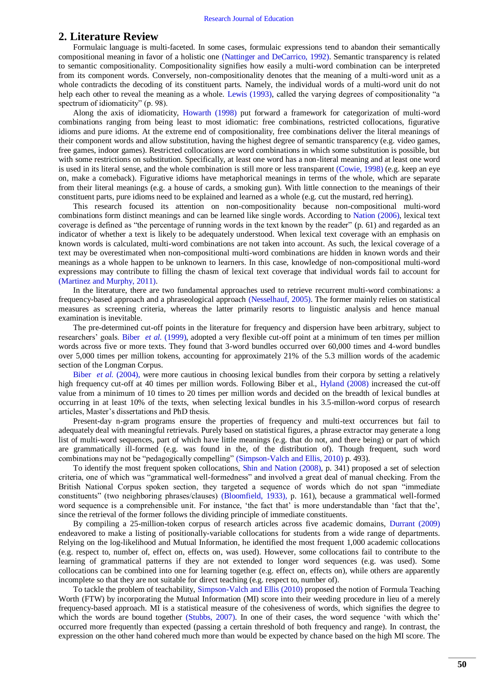## **2. Literature Review**

Formulaic language is multi-faceted. In some cases, formulaic expressions tend to abandon their semantically compositional meaning in favor of a holistic one [\(Nattinger and DeCarrico, 1992\)](#page-5-1). Semantic transparency is related to semantic compositionality. Compositionality signifies how easily a multi-word combination can be interpreted from its component words. Conversely, non-compositionality denotes that the meaning of a multi-word unit as a whole contradicts the decoding of its constituent parts. Namely, the individual words of a multi-word unit do not help each other to reveal the meaning as a whole. [Lewis \(1993\),](#page-5-14) called the varying degrees of compositionality "a spectrum of idiomaticity" (p. 98).

Along the axis of idiomaticity, [Howarth \(1998\)](#page-5-4) put forward a framework for categorization of multi-word combinations ranging from being least to most idiomatic: free combinations, restricted collocations, figurative idioms and pure idioms. At the extreme end of compositionality, free combinations deliver the literal meanings of their component words and allow substitution, having the highest degree of semantic transparency (e.g. video games, free games, indoor games). Restricted collocations are word combinations in which some substitution is possible, but with some restrictions on substitution. Specifically, at least one word has a non-literal meaning and at least one word is used in its literal sense, and the whole combination is still more or less transparent [\(Cowie, 1998\)](#page-5-11) (e.g. keep an eye on, make a comeback). Figurative idioms have metaphorical meanings in terms of the whole, which are separate from their literal meanings (e.g. a house of cards, a smoking gun). With little connection to the meanings of their constituent parts, pure idioms need to be explained and learned as a whole (e.g. cut the mustard, red herring).

This research focused its attention on non-compositionality because non-compositional multi-word combinations form distinct meanings and can be learned like single words. According to [Nation \(2006\),](#page-5-15) lexical text coverage is defined as "the percentage of running words in the text known by the reader" (p. 61) and regarded as an indicator of whether a text is likely to be adequately understood. When lexical text coverage with an emphasis on known words is calculated, multi-word combinations are not taken into account. As such, the lexical coverage of a text may be overestimated when non-compositional multi-word combinations are hidden in known words and their meanings as a whole happen to be unknown to learners. In this case, knowledge of non-compositional multi-word expressions may contribute to filling the chasm of lexical text coverage that individual words fail to account for [\(Martinez and Murphy, 2011\)](#page-5-13).

In the literature, there are two fundamental approaches used to retrieve recurrent multi-word combinations: a frequency-based approach and a phraseological approach [\(Nesselhauf, 2005\)](#page-5-16). The former mainly relies on statistical measures as screening criteria, whereas the latter primarily resorts to linguistic analysis and hence manual examination is inevitable.

The pre-determined cut-off points in the literature for frequency and dispersion have been arbitrary, subject to researchers" goals. Biber *et al.* [\(1999\),](#page-5-17) adopted a very flexible cut-off point at a minimum of ten times per million words across five or more texts. They found that 3-word bundles occurred over 60,000 times and 4-word bundles over 5,000 times per million tokens, accounting for approximately 21% of the 5.3 million words of the academic section of the Longman Corpus.

Biber *et al.* [\(2004\),](#page-5-6) were more cautious in choosing lexical bundles from their corpora by setting a relatively high frequency cut-off at 40 times per million words. Following Biber et al., [Hyland \(2008\)](#page-5-7) increased the cut-off value from a minimum of 10 times to 20 times per million words and decided on the breadth of lexical bundles at occurring in at least 10% of the texts, when selecting lexical bundles in his 3.5-millon-word corpus of research articles, Master"s dissertations and PhD thesis.

Present-day n-gram programs ensure the properties of frequency and multi-text occurrences but fail to adequately deal with meaningful retrievals. Purely based on statistical figures, a phrase extractor may generate a long list of multi-word sequences, part of which have little meanings (e.g. that do not, and there being) or part of which are grammatically ill-formed (e.g. was found in the, of the distribution of). Though frequent, such word combinations may not be "pedagogically compelling" [\(Simpson-Valch and Ellis, 2010\)](#page-5-18) p. 493).

To identify the most frequent spoken collocations, [Shin and Nation \(2008\),](#page-5-19) p. 341) proposed a set of selection criteria, one of which was "grammatical well-formedness" and involved a great deal of manual checking. From the British National Corpus spoken section, they targeted a sequence of words which do not span "immediate constituents" (two neighboring phrases/clauses) [\(Bloomfield, 1933\)](#page-5-20), p. 161), because a grammatical well-formed word sequence is a comprehensible unit. For instance, 'the fact that' is more understandable than 'fact that the', since the retrieval of the former follows the dividing principle of immediate constituents.

By compiling a 25-million-token corpus of research articles across five academic domains, [Durrant \(2009\)](#page-5-21) endeavored to make a listing of positionally-variable collocations for students from a wide range of departments. Relying on the log-likelihood and Mutual Information, he identified the most frequent 1,000 academic collocations (e.g. respect to, number of, effect on, effects on, was used). However, some collocations fail to contribute to the learning of grammatical patterns if they are not extended to longer word sequences (e.g. was used). Some collocations can be combined into one for learning together (e.g. effect on, effects on), while others are apparently incomplete so that they are not suitable for direct teaching (e.g. respect to, number of).

To tackle the problem of teachability, [Simpson-Valch and Ellis \(2010\)](#page-5-18) proposed the notion of Formula Teaching Worth (FTW) by incorporating the Mutual Information (MI) score into their weeding procedure in lieu of a merely frequency-based approach. MI is a statistical measure of the cohesiveness of words, which signifies the degree to which the words are bound together [\(Stubbs, 2007\)](#page-5-12). In one of their cases, the word sequence 'with which the' occurred more frequently than expected (passing a certain threshold of both frequency and range). In contrast, the expression on the other hand cohered much more than would be expected by chance based on the high MI score. The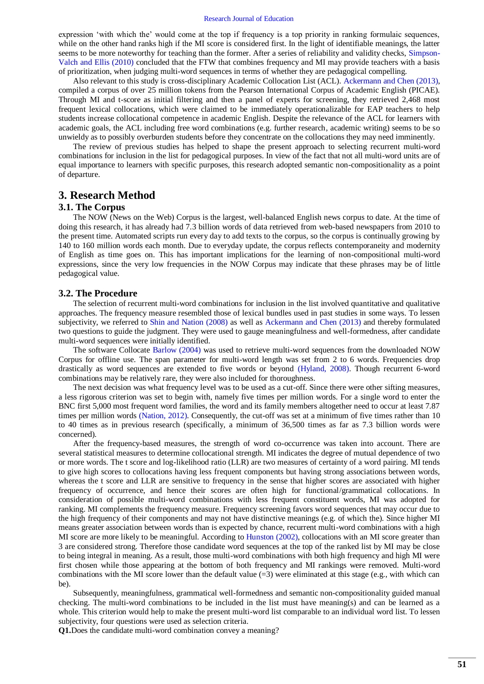expression "with which the" would come at the top if frequency is a top priority in ranking formulaic sequences, while on the other hand ranks high if the MI score is considered first. In the light of identifiable meanings, the latter seems to be more noteworthy for teaching than the former. After a series of reliability and validity checks, [Simpson-](#page-5-18)Valch and Ellis (2010) concluded that the FTW that combines frequency and MI may provide teachers with a basis of prioritization, when judging multi-word sequences in terms of whether they are pedagogical compelling.

Also relevant to this study is cross-disciplinary Academic Collocation List (ACL). [Ackermann and Chen \(2013\),](#page-4-2) compiled a corpus of over 25 million tokens from the Pearson International Corpus of Academic English (PICAE). Through MI and t-score as initial filtering and then a panel of experts for screening, they retrieved 2,468 most frequent lexical collocations, which were claimed to be immediately operationalizable for EAP teachers to help students increase collocational competence in academic English. Despite the relevance of the ACL for learners with academic goals, the ACL including free word combinations (e.g. further research, academic writing) seems to be so unwieldy as to possibly overburden students before they concentrate on the collocations they may need imminently.

The review of previous studies has helped to shape the present approach to selecting recurrent multi-word combinations for inclusion in the list for pedagogical purposes. In view of the fact that not all multi-word units are of equal importance to learners with specific purposes, this research adopted semantic non-compositionality as a point of departure.

### **3. Research Method**

#### **3.1. The Corpus**

The NOW (News on the Web) Corpus is the largest, well-balanced English news corpus to date. At the time of doing this research, it has already had 7.3 billion words of data retrieved from web-based newspapers from 2010 to the present time. Automated scripts run every day to add texts to the corpus, so the corpus is continually growing by 140 to 160 million words each month. Due to everyday update, the corpus reflects contemporaneity and modernity of English as time goes on. This has important implications for the learning of non-compositional multi-word expressions, since the very low frequencies in the NOW Corpus may indicate that these phrases may be of little pedagogical value.

#### **3.2. The Procedure**

The selection of recurrent multi-word combinations for inclusion in the list involved quantitative and qualitative approaches. The frequency measure resembled those of lexical bundles used in past studies in some ways. To lessen subjectivity, we referred to [Shin and Nation \(2008\)](#page-5-19) as well as [Ackermann and Chen \(2013\)](#page-4-2) and thereby formulated two questions to guide the judgment. They were used to gauge meaningfulness and well-formedness, after candidate multi-word sequences were initially identified.

The software Collocate [Barlow \(2004\)](#page-4-3) was used to retrieve multi-word sequences from the downloaded NOW Corpus for offline use. The span parameter for multi-word length was set from 2 to 6 words. Frequencies drop drastically as word sequences are extended to five words or beyond [\(Hyland, 2008\)](#page-5-7). Though recurrent 6-word combinations may be relatively rare, they were also included for thoroughness.

The next decision was what frequency level was to be used as a cut-off. Since there were other sifting measures, a less rigorous criterion was set to begin with, namely five times per million words. For a single word to enter the BNC first 5,000 most frequent word families, the word and its family members altogether need to occur at least 7.87 times per million words [\(Nation, 2012\)](#page-5-22). Consequently, the cut-off was set at a minimum of five times rather than 10 to 40 times as in previous research (specifically, a minimum of 36,500 times as far as 7.3 billion words were concerned).

After the frequency-based measures, the strength of word co-occurrence was taken into account. There are several statistical measures to determine collocational strength. MI indicates the degree of mutual dependence of two or more words. The t score and log-likelihood ratio (LLR) are two measures of certainty of a word pairing. MI tends to give high scores to collocations having less frequent components but having strong associations between words, whereas the t score and LLR are sensitive to frequency in the sense that higher scores are associated with higher frequency of occurrence, and hence their scores are often high for functional/grammatical collocations. In consideration of possible multi-word combinations with less frequent constituent words, MI was adopted for ranking. MI complements the frequency measure. Frequency screening favors word sequences that may occur due to the high frequency of their components and may not have distinctive meanings (e.g. of which the). Since higher MI means greater association between words than is expected by chance, recurrent multi-word combinations with a high MI score are more likely to be meaningful. According to [Hunston \(2002\),](#page-5-23) collocations with an MI score greater than 3 are considered strong. Therefore those candidate word sequences at the top of the ranked list by MI may be close to being integral in meaning. As a result, those multi-word combinations with both high frequency and high MI were first chosen while those appearing at the bottom of both frequency and MI rankings were removed. Multi-word combinations with the MI score lower than the default value  $(=3)$  were eliminated at this stage (e.g., with which can be).

Subsequently, meaningfulness, grammatical well-formedness and semantic non-compositionality guided manual checking. The multi-word combinations to be included in the list must have meaning(s) and can be learned as a whole. This criterion would help to make the present multi-word list comparable to an individual word list. To lessen subjectivity, four questions were used as selection criteria.

**Q1.**Does the candidate multi-word combination convey a meaning?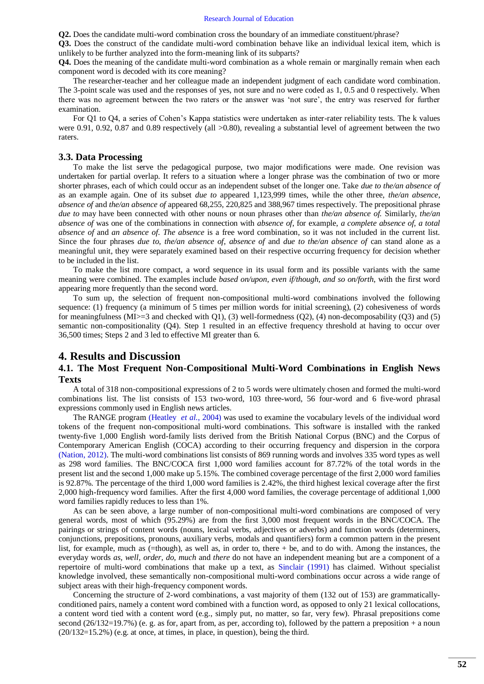**Q2.** Does the candidate multi-word combination cross the boundary of an immediate constituent/phrase?

**Q3.** Does the construct of the candidate multi-word combination behave like an individual lexical item, which is unlikely to be further analyzed into the form-meaning link of its subparts?

**Q4.** Does the meaning of the candidate multi-word combination as a whole remain or marginally remain when each component word is decoded with its core meaning?

The researcher-teacher and her colleague made an independent judgment of each candidate word combination. The 3-point scale was used and the responses of yes, not sure and no were coded as 1, 0.5 and 0 respectively. When there was no agreement between the two raters or the answer was "not sure", the entry was reserved for further examination.

For Q1 to Q4, a series of Cohen"s Kappa statistics were undertaken as inter-rater reliability tests. The k values were 0.91, 0.92, 0.87 and 0.89 respectively (all  $>0.80$ ), revealing a substantial level of agreement between the two raters.

#### **3.3. Data Processing**

To make the list serve the pedagogical purpose, two major modifications were made. One revision was undertaken for partial overlap. It refers to a situation where a longer phrase was the combination of two or more shorter phrases, each of which could occur as an independent subset of the longer one. Take *due to the/an absence of* as an example again. One of its subset *due to* appeared 1,123,999 times, while the other three, *the/an absence*, *absence of* and *the/an absence of* appeared 68,255, 220,825 and 388,967 times respectively. The prepositional phrase *due to* may have been connected with other nouns or noun phrases other than *the/an absence of.* Similarly, *the/an absence of* was one of the combinations in connection with *absence of*, for example, *a complete absence of, a total absence of* and *an absence of*. *The absence* is a free word combination, so it was not included in the current list. Since the four phrases *due to*, *the/an absence of*, *absence of* and *due to the/an absence of* can stand alone as a meaningful unit, they were separately examined based on their respective occurring frequency for decision whether to be included in the list.

To make the list more compact, a word sequence in its usual form and its possible variants with the same meaning were combined. The examples include *based on/upon*, *even if/though, and so on/forth*, with the first word appearing more frequently than the second word.

To sum up, the selection of frequent non-compositional multi-word combinations involved the following sequence: (1) frequency (a minimum of 5 times per million words for initial screening), (2) cohesiveness of words for meaningfulness ( $MI$ ) = 3 and checked with  $Q1$ ), (3) well-formedness ( $Q2$ ), (4) non-decomposability ( $Q3$ ) and (5) semantic non-compositionality (Q4). Step 1 resulted in an effective frequency threshold at having to occur over 36,500 times; Steps 2 and 3 led to effective MI greater than 6.

### **4. Results and Discussion**

#### **4.1. The Most Frequent Non-Compositional Multi-Word Combinations in English News Texts**

A total of 318 non-compositional expressions of 2 to 5 words were ultimately chosen and formed the multi-word combinations list. The list consists of 153 two-word, 103 three-word, 56 four-word and 6 five-word phrasal expressions commonly used in English news articles.

The RANGE program [\(Heatley](#page-5-24) *et al.*, 2004) was used to examine the vocabulary levels of the individual word tokens of the frequent non-compositional multi-word combinations. This software is installed with the ranked twenty-five 1,000 English word-family lists derived from the British National Corpus (BNC) and the Corpus of Contemporary American English (COCA) according to their occurring frequency and dispersion in the corpora [\(Nation, 2012\)](#page-5-22). The multi-word combinations list consists of 869 running words and involves 335 word types as well as 298 word families. The BNC/COCA first 1,000 word families account for 87.72% of the total words in the present list and the second 1,000 make up 5.15%. The combined coverage percentage of the first 2,000 word families is 92.87%. The percentage of the third 1,000 word families is 2.42%, the third highest lexical coverage after the first 2,000 high-frequency word families. After the first 4,000 word families, the coverage percentage of additional 1,000 word families rapidly reduces to less than 1%.

As can be seen above, a large number of non-compositional multi-word combinations are composed of very general words, most of which (95.29%) are from the first 3,000 most frequent words in the BNC/COCA. The pairings or strings of content words (nouns, lexical verbs, adjectives or adverbs) and function words (determiners, conjunctions, prepositions, pronouns, auxiliary verbs, modals and quantifiers) form a common pattern in the present list, for example, much as (=though), as well as, in order to, there + be, and to do with. Among the instances, the everyday words *as, well, order, do, much* and *there* do not have an independent meaning but are a component of a repertoire of multi-word combinations that make up a text, as [Sinclair \(1991\)](#page-5-25) has claimed. Without specialist knowledge involved, these semantically non-compositional multi-word combinations occur across a wide range of subject areas with their high-frequency component words.

Concerning the structure of 2-word combinations, a vast majority of them (132 out of 153) are grammaticallyconditioned pairs, namely a content word combined with a function word, as opposed to only 21 lexical collocations, a content word tied with a content word (e.g., simply put, no matter, so far, very few). Phrasal prepositions come second  $(26/132=19.7%)$  (e. g. as for, apart from, as per, according to), followed by the pattern a preposition + a noun (20/132=15.2%) (e.g. at once, at times, in place, in question), being the third.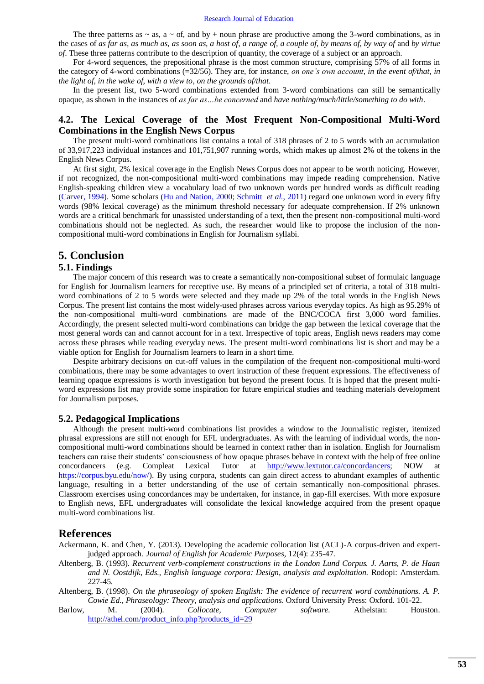The three patterns as  $\sim$  as, a  $\sim$  of, and by + noun phrase are productive among the 3-word combinations, as in the cases of *as far as, as much as, as soon as, a host of, a range of, a couple of, by means of, by way of* and *by virtue of*. These three patterns contribute to the description of quantity, the coverage of a subject or an approach.

For 4-word sequences, the prepositional phrase is the most common structure, comprising 57% of all forms in the category of 4-word combinations (=32/56). They are, for instance, *on one's own account, in the event of/that, in the light of, in the wake of, with a view to, on the grounds of/that*.

In the present list, two 5-word combinations extended from 3-word combinations can still be semantically opaque, as shown in the instances of *as far as…be concerned* and *have nothing/much/little/something to do with*.

### **4.2. The Lexical Coverage of the Most Frequent Non-Compositional Multi-Word Combinations in the English News Corpus**

The present multi-word combinations list contains a total of 318 phrases of 2 to 5 words with an accumulation of 33,917,223 individual instances and 101,751,907 running words, which makes up almost 2% of the tokens in the English News Corpus.

At first sight, 2% lexical coverage in the English News Corpus does not appear to be worth noticing. However, if not recognized, the non-compositional multi-word combinations may impede reading comprehension. Native English-speaking children view a vocabulary load of two unknown words per hundred words as difficult reading [\(Carver, 1994\)](#page-5-26). Some scholars [\(Hu and Nation, 2000;](#page-5-27) [Schmitt](#page-5-28) *et al.*, 2011) regard one unknown word in every fifty words (98% lexical coverage) as the minimum threshold necessary for adequate comprehension. If 2% unknown words are a critical benchmark for unassisted understanding of a text, then the present non-compositional multi-word combinations should not be neglected. As such, the researcher would like to propose the inclusion of the noncompositional multi-word combinations in English for Journalism syllabi.

## **5. Conclusion**

#### **5.1. Findings**

The major concern of this research was to create a semantically non-compositional subset of formulaic language for English for Journalism learners for receptive use. By means of a principled set of criteria, a total of 318 multiword combinations of 2 to 5 words were selected and they made up 2% of the total words in the English News Corpus. The present list contains the most widely-used phrases across various everyday topics. As high as 95.29% of the non-compositional multi-word combinations are made of the BNC/COCA first 3,000 word families. Accordingly, the present selected multi-word combinations can bridge the gap between the lexical coverage that the most general words can and cannot account for in a text. Irrespective of topic areas, English news readers may come across these phrases while reading everyday news. The present multi-word combinations list is short and may be a viable option for English for Journalism learners to learn in a short time.

Despite arbitrary decisions on cut-off values in the compilation of the frequent non-compositional multi-word combinations, there may be some advantages to overt instruction of these frequent expressions. The effectiveness of learning opaque expressions is worth investigation but beyond the present focus. It is hoped that the present multiword expressions list may provide some inspiration for future empirical studies and teaching materials development for Journalism purposes.

#### **5.2. Pedagogical Implications**

Although the present multi-word combinations list provides a window to the Journalistic register, itemized phrasal expressions are still not enough for EFL undergraduates. As with the learning of individual words, the noncompositional multi-word combinations should be learned in context rather than in isolation. English for Journalism teachers can raise their students" consciousness of how opaque phrases behave in context with the help of free online concordancers (e.g. Compleat Lexical Tutor at [http://www.lextutor.ca/concordancers;](http://www.lextutor.ca/concordancers) NOW at [https://corpus.byu.edu/now/\)](https://corpus.byu.edu/now/). By using corpora, students can gain direct access to abundant examples of authentic language, resulting in a better understanding of the use of certain semantically non-compositional phrases. Classroom exercises using concordances may be undertaken, for instance, in gap-fill exercises. With more exposure to English news, EFL undergraduates will consolidate the lexical knowledge acquired from the present opaque multi-word combinations list.

### **References**

<span id="page-4-2"></span>Ackermann, K. and Chen, Y. (2013). Developing the academic collocation list (ACL)-A corpus-driven and expertjudged approach. *Journal of English for Academic Purposes,* 12(4): 235-47.

<span id="page-4-0"></span>Altenberg, B. (1993). *Recurrent verb-complement constructions in the London Lund Corpus. J. Aarts, P. de Haan and N. Oostdijk, Eds., English language corpora: Design, analysis and exploitation.* Rodopi: Amsterdam. 227-45.

<span id="page-4-1"></span>Altenberg, B. (1998). *On the phraseology of spoken English: The evidence of recurrent word combinations. A. P. Cowie Ed., Phraseology: Theory, analysis and applications.* Oxford University Press: Oxford. 101-22.

<span id="page-4-3"></span>Barlow, M. (2004). *Collocate, Computer software.* Athelstan: Houston. [http://athel.com/product\\_info.php?products\\_id=29](http://athel.com/product_info.php?products_id=29)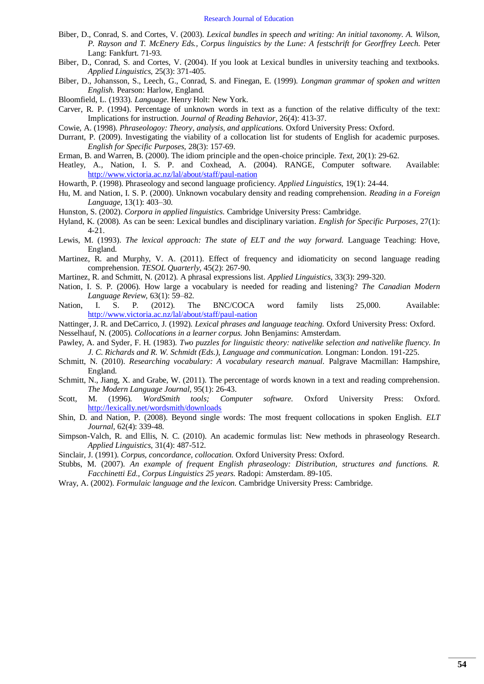- <span id="page-5-5"></span>Biber, D., Conrad, S. and Cortes, V. (2003). *Lexical bundles in speech and writing: An initial taxonomy. A. Wilson, P. Rayson and T. McEnery Eds., Corpus linguistics by the Lune: A festschrift for Georffrey Leech.* Peter Lang: Fankfurt. 71-93.
- <span id="page-5-6"></span>Biber, D., Conrad, S. and Cortes, V. (2004). If you look at Lexical bundles in university teaching and textbooks. *Applied Linguistics,* 25(3): 371-405.
- <span id="page-5-17"></span>Biber, D., Johansson, S., Leech, G., Conrad, S. and Finegan, E. (1999). *Longman grammar of spoken and written English.* Pearson: Harlow, England.
- <span id="page-5-20"></span>Bloomfield, L. (1933). *Language.* Henry Holt: New York.
- <span id="page-5-26"></span>Carver, R. P. (1994). Percentage of unknown words in text as a function of the relative difficulty of the text: Implications for instruction. *Journal of Reading Behavior,* 26(4): 413-37.
- <span id="page-5-11"></span>Cowie, A. (1998). *Phraseologoy: Theory, analysis, and applications.* Oxford University Press: Oxford.
- <span id="page-5-21"></span>Durrant, P. (2009). Investigating the viability of a collocation list for students of English for academic purposes. *English for Specific Purposes,* 28(3): 157-69.
- <span id="page-5-2"></span>Erman, B. and Warren, B. (2000). The idiom principle and the open-choice principle. *Text,* 20(1): 29-62.
- <span id="page-5-24"></span>Heatley, A., Nation, I. S. P. and Coxhead, A. (2004). RANGE, Computer software. Available: <http://www.victoria.ac.nz/lal/about/staff/paul-nation>
- <span id="page-5-4"></span>Howarth, P. (1998). Phraseology and second language proficiency. *Applied Linguistics,* 19(1): 24-44.
- <span id="page-5-27"></span>Hu, M. and Nation, I. S. P. (2000). Unknown vocabulary density and reading comprehension. *Reading in a Foreign Language,* 13(1): 403–30.
- <span id="page-5-23"></span>Hunston, S. (2002). *Corpora in applied linguistics.* Cambridge University Press: Cambridge.
- <span id="page-5-7"></span>Hyland, K. (2008). As can be seen: Lexical bundles and disciplinary variation. *English for Specific Purposes,* 27(1): 4-21.
- <span id="page-5-14"></span>Lewis, M. (1993). *The lexical approach: The state of ELT and the way forward.* Language Teaching: Hove, England.
- <span id="page-5-13"></span>Martinez, R. and Murphy, V. A. (2011). Effect of frequency and idiomaticity on second language reading comprehension. *TESOL Quarterly,* 45(2): 267-90.
- <span id="page-5-9"></span>Martinez, R. and Schmitt, N. (2012). A phrasal expressions list. *Applied Linguistics,* 33(3): 299-320.
- <span id="page-5-15"></span>Nation, I. S. P. (2006). How large a vocabulary is needed for reading and listening? *The Canadian Modern Language Review,* 63(1): 59–82.
- <span id="page-5-22"></span>Nation, I. S. P. (2012). The BNC/COCA word family lists 25,000. Available: <http://www.victoria.ac.nz/lal/about/staff/paul-nation>
- <span id="page-5-1"></span>Nattinger, J. R. and DeCarrico, J. (1992). *Lexical phrases and language teaching.* Oxford University Press: Oxford.
- <span id="page-5-16"></span>Nesselhauf, N. (2005). *Collocations in a learner corpus.* John Benjamins: Amsterdam.
- <span id="page-5-10"></span>Pawley, A. and Syder, F. H. (1983). *Two puzzles for linguistic theory: nativelike selection and nativelike fluency. In J. C. Richards and R. W. Schmidt (Eds.), Language and communication.* Longman: London. 191-225.
- <span id="page-5-0"></span>Schmitt, N. (2010). *Researching vocabulary: A vocabulary research manual.* Palgrave Macmillan: Hampshire, England.
- <span id="page-5-28"></span>Schmitt, N., Jiang, X. and Grabe, W. (2011). The percentage of words known in a text and reading comprehension. *The Modern Language Journal,* 95(1): 26-43.
- <span id="page-5-8"></span>Scott, M. (1996). *WordSmith tools; Computer software.* Oxford University Press: Oxford. <http://lexically.net/wordsmith/downloads>
- <span id="page-5-19"></span>Shin, D. and Nation, P. (2008). Beyond single words: The most frequent collocations in spoken English. *ELT Journal,* 62(4): 339-48.
- <span id="page-5-18"></span>Simpson-Valch, R. and Ellis, N. C. (2010). An academic formulas list: New methods in phraseology Research. *Applied Linguistics,* 31(4): 487-512.
- <span id="page-5-25"></span>Sinclair, J. (1991). *Corpus, concordance, collocation.* Oxford University Press: Oxford.
- <span id="page-5-12"></span>Stubbs, M. (2007). *An example of frequent English phraseology: Distribution, structures and functions. R. Facchinetti Ed., Corpus Linguistics 25 years.* Radopi: Amsterdam. 89-105.
- <span id="page-5-3"></span>Wray, A. (2002). *Formulaic language and the lexicon.* Cambridge University Press: Cambridge.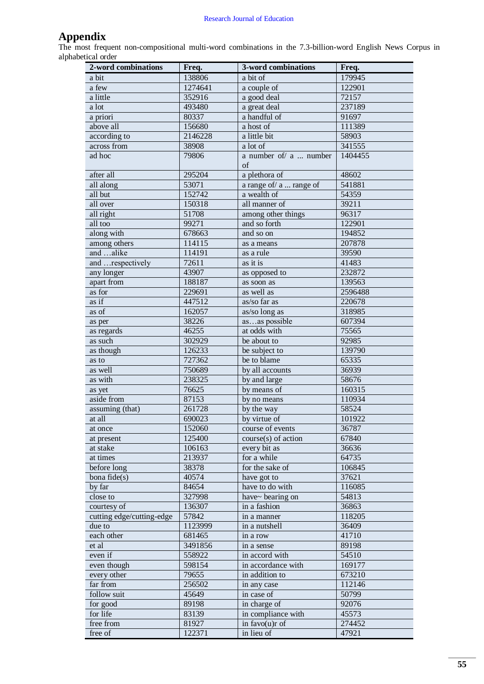# **Appendix**

The most frequent non-compositional multi-word combinations in the 7.3-billion-word English News Corpus in alphabetical order

| 2-word combinations       | Freq.   | 3-word combinations     | Freq.   |
|---------------------------|---------|-------------------------|---------|
| a bit                     | 138806  | a bit of                | 179945  |
| a few                     | 1274641 | a couple of             | 122901  |
| a little                  | 352916  | a good deal             | 72157   |
| a lot                     | 493480  | a great deal            | 237189  |
| a priori                  | 80337   | a handful of            | 91697   |
| above all                 | 156680  | a host of               | 111389  |
| according to              | 2146228 | a little bit            | 58903   |
| across from               | 38908   | a lot of                | 341555  |
| ad hoc                    | 79806   | a number of/ a  number  | 1404455 |
|                           |         | of                      |         |
| after all                 | 295204  | a plethora of           | 48602   |
| all along                 | 53071   | a range of/ a  range of | 541881  |
| all but                   | 152742  | a wealth of             | 54359   |
| all over                  | 150318  | all manner of           | 39211   |
| all right                 | 51708   | among other things      | 96317   |
| all too                   | 99271   | and so forth            | 122901  |
| along with                | 678663  | and so on               | 194852  |
| among others              | 114115  | as a means              | 207878  |
| and alike                 | 114191  | as a rule               | 39590   |
| and respectively          | 72611   | as it is                | 41483   |
| any longer                | 43907   | as opposed to           | 232872  |
| apart from                | 188187  | as soon as              | 139563  |
| as for                    | 229691  | as well as              | 2596488 |
| as if                     | 447512  | as/so far as            | 220678  |
| as of                     | 162057  | as/so long as           | 318985  |
| as per                    | 38226   | asas possible           | 607394  |
| as regards                | 46255   | at odds with            | 75565   |
| as such                   | 302929  | be about to             | 92985   |
| as though                 | 126233  | be subject to           | 139790  |
| as to                     | 727362  | be to blame             | 65335   |
| as well                   | 750689  | by all accounts         | 36939   |
| as with                   | 238325  | by and large            | 58676   |
| as yet                    | 76625   | by means of             | 160315  |
| aside from                | 87153   | by no means             | 110934  |
| assuming (that)           | 261728  | by the way              | 58524   |
| at all                    | 690023  | by virtue of            | 101922  |
| at once                   | 152060  | course of events        | 36787   |
| at present                | 125400  | course(s) of action     | 67840   |
| at stake                  | 106163  | every bit as            | 36636   |
| at times                  | 213937  | for a while             | 64735   |
| before long               | 38378   | for the sake of         | 106845  |
| bona fide(s)              | 40574   | have got to             | 37621   |
| by far                    | 84654   | have to do with         | 116085  |
| close to                  | 327998  | have~ bearing on        | 54813   |
| courtesy of               | 136307  | in a fashion            | 36863   |
| cutting edge/cutting-edge | 57842   | in a manner             | 118205  |
| due to                    | 1123999 | in a nutshell           | 36409   |
| each other                | 681465  | in a row                | 41710   |
| et al                     | 3491856 | in a sense              | 89198   |
| even if                   | 558922  | in accord with          | 54510   |
| even though               | 598154  | in accordance with      | 169177  |
| every other               | 79655   | in addition to          | 673210  |
| far from                  | 256502  | in any case             | 112146  |
| follow suit               | 45649   | in case of              | 50799   |
| for good                  | 89198   | in charge of            | 92076   |
| for life                  | 83139   | in compliance with      | 45573   |
| free from                 | 81927   | in favo(u)r of          | 274452  |
| free of                   | 122371  | in lieu of              | 47921   |
|                           |         |                         |         |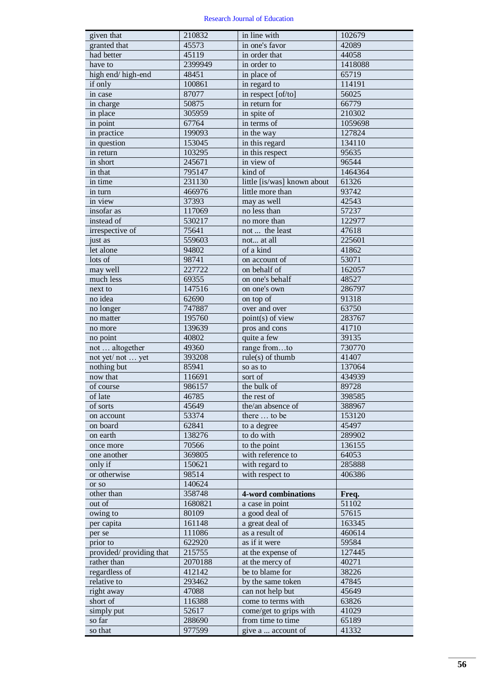| given that               | 210832           | in line with                                | 102679  |
|--------------------------|------------------|---------------------------------------------|---------|
| granted that             | 45573            | in one's favor                              | 42089   |
| had better               | 45119            | in order that                               | 44058   |
| have to                  | 2399949          | in order to                                 | 1418088 |
| high end/high-end        | 48451            | in place of                                 | 65719   |
| if only                  | 100861           | in regard to                                | 114191  |
| in case                  | 87077            | in respect [of/to]                          | 56025   |
| in charge                | 50875            | in return for                               | 66779   |
| in place                 | 305959           | in spite of                                 | 210302  |
| in point                 | 67764            | in terms of                                 | 1059698 |
| in practice              | 199093           | in the way                                  | 127824  |
| in question              | 153045           | in this regard                              | 134110  |
| in return                | 103295           | in this respect                             | 95635   |
| in short                 | 245671           | in view of                                  | 96544   |
| in that                  | 795147           | kind of                                     | 1464364 |
| in time                  | 231130           | little [is/was] known about                 | 61326   |
| in turn                  | 466976           | little more than                            | 93742   |
| in view                  | 37393            | may as well                                 | 42543   |
| insofar as               | 117069           | no less than                                | 57237   |
| instead of               | 530217           | no more than                                | 122977  |
| irrespective of          | 75641            | not  the least                              | 47618   |
| just as                  | 559603           | not at all                                  | 225601  |
| let alone                | 94802            | of a kind                                   | 41862   |
| lots of                  | 98741            | on account of                               | 53071   |
| may well                 | 227722           | on behalf of                                | 162057  |
| much less                | 69355            | on one's behalf                             | 48527   |
| next to                  | 147516           | on one's own                                | 286797  |
| no idea                  | 62690            | on top of                                   | 91318   |
| no longer                | 747887           | over and over                               | 63750   |
| no matter                | 195760           | point(s) of view                            | 283767  |
| no more                  | 139639           | pros and cons                               | 41710   |
| no point                 | 40802            | quite a few                                 | 39135   |
| not  altogether          | 49360            | range fromto                                | 730770  |
| not yet/not  yet         | 393208           | $rule(s)$ of thumb                          | 41407   |
| nothing but              | 85941            | so as to                                    | 137064  |
| now that                 | 116691           | sort of                                     | 434939  |
| of course                | 986157           | the bulk of                                 | 89728   |
| of late                  | 46785            | the rest of                                 | 398585  |
| of sorts                 | 45649            | the/an absence of                           | 388967  |
| on account               | 53374            | there  to be                                | 153120  |
| on board                 | 62841            | to a degree                                 | 45497   |
| on earth                 | 138276           | to do with                                  | 289902  |
| once more                | 70566            | to the point                                | 136155  |
| one another              | 369805           | with reference to                           | 64053   |
| only if                  | 150621           | with regard to                              | 285888  |
| or otherwise             | 98514            | with respect to                             | 406386  |
| or so                    | 140624           |                                             |         |
| other than               | 358748           | 4-word combinations                         | Freq.   |
| out of                   | 1680821          | a case in point                             | 51102   |
| owing to                 | 80109            | a good deal of                              | 57615   |
| per capita               | 161148           | a great deal of                             | 163345  |
| per se                   | 111086           | as a result of                              | 460614  |
| prior to                 | 622920           | as if it were                               | 59584   |
| provided/ providing that | 215755           | at the expense of                           | 127445  |
| rather than              | 2070188          | at the mercy of                             | 40271   |
| regardless of            | 412142           | be to blame for                             | 38226   |
| relative to              | 293462           | by the same token                           | 47845   |
| right away               | 47088            | can not help but                            | 45649   |
| short of                 | 116388           | come to terms with                          | 63826   |
|                          | 52617            |                                             |         |
| simply put<br>so far     |                  | come/get to grips with<br>from time to time | 41029   |
| so that                  | 288690<br>977599 |                                             | 65189   |
|                          |                  | give a  account of                          | 41332   |